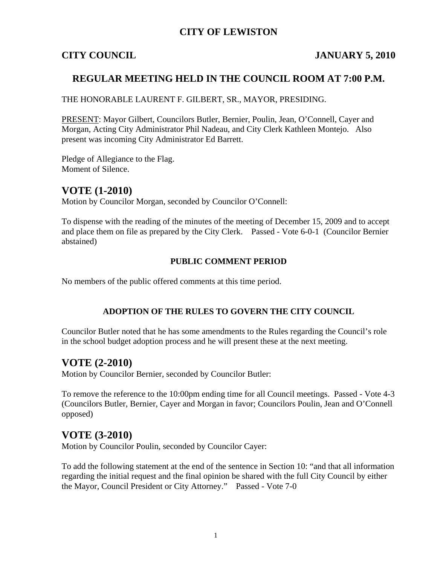## **CITY OF LEWISTON**

### **CITY COUNCIL JANUARY 5, 2010**

### **REGULAR MEETING HELD IN THE COUNCIL ROOM AT 7:00 P.M.**

THE HONORABLE LAURENT F. GILBERT, SR., MAYOR, PRESIDING.

PRESENT: Mayor Gilbert, Councilors Butler, Bernier, Poulin, Jean, O'Connell, Cayer and Morgan, Acting City Administrator Phil Nadeau, and City Clerk Kathleen Montejo. Also present was incoming City Administrator Ed Barrett.

Pledge of Allegiance to the Flag. Moment of Silence.

### **VOTE (1-2010)**

Motion by Councilor Morgan, seconded by Councilor O'Connell:

To dispense with the reading of the minutes of the meeting of December 15, 2009 and to accept and place them on file as prepared by the City Clerk. Passed - Vote 6-0-1 (Councilor Bernier abstained)

### **PUBLIC COMMENT PERIOD**

No members of the public offered comments at this time period.

### **ADOPTION OF THE RULES TO GOVERN THE CITY COUNCIL**

Councilor Butler noted that he has some amendments to the Rules regarding the Council's role in the school budget adoption process and he will present these at the next meeting.

### **VOTE (2-2010)**

Motion by Councilor Bernier, seconded by Councilor Butler:

To remove the reference to the 10:00pm ending time for all Council meetings. Passed - Vote 4-3 (Councilors Butler, Bernier, Cayer and Morgan in favor; Councilors Poulin, Jean and O'Connell opposed)

### **VOTE (3-2010)**

Motion by Councilor Poulin, seconded by Councilor Cayer:

To add the following statement at the end of the sentence in Section 10: "and that all information regarding the initial request and the final opinion be shared with the full City Council by either the Mayor, Council President or City Attorney." Passed - Vote 7-0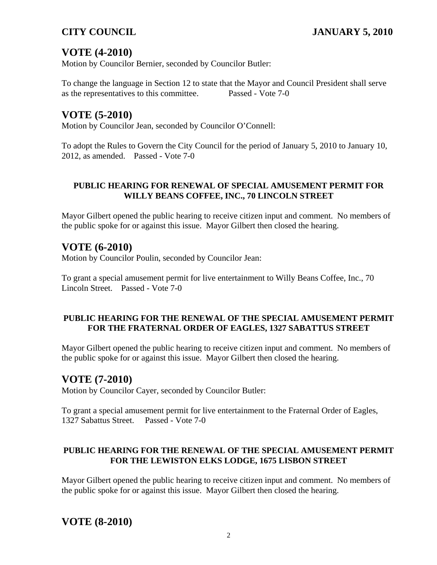# **VOTE (4-2010)**

Motion by Councilor Bernier, seconded by Councilor Butler:

To change the language in Section 12 to state that the Mayor and Council President shall serve as the representatives to this committee. Passed - Vote 7-0

# **VOTE (5-2010)**

Motion by Councilor Jean, seconded by Councilor O'Connell:

To adopt the Rules to Govern the City Council for the period of January 5, 2010 to January 10, 2012, as amended. Passed - Vote 7-0

### **PUBLIC HEARING FOR RENEWAL OF SPECIAL AMUSEMENT PERMIT FOR WILLY BEANS COFFEE, INC., 70 LINCOLN STREET**

Mayor Gilbert opened the public hearing to receive citizen input and comment. No members of the public spoke for or against this issue. Mayor Gilbert then closed the hearing.

# **VOTE (6-2010)**

Motion by Councilor Poulin, seconded by Councilor Jean:

To grant a special amusement permit for live entertainment to Willy Beans Coffee, Inc., 70 Lincoln Street. Passed - Vote 7-0

### **PUBLIC HEARING FOR THE RENEWAL OF THE SPECIAL AMUSEMENT PERMIT FOR THE FRATERNAL ORDER OF EAGLES, 1327 SABATTUS STREET**

Mayor Gilbert opened the public hearing to receive citizen input and comment. No members of the public spoke for or against this issue. Mayor Gilbert then closed the hearing.

# **VOTE (7-2010)**

Motion by Councilor Cayer, seconded by Councilor Butler:

To grant a special amusement permit for live entertainment to the Fraternal Order of Eagles, 1327 Sabattus Street. Passed - Vote 7-0

### **PUBLIC HEARING FOR THE RENEWAL OF THE SPECIAL AMUSEMENT PERMIT FOR THE LEWISTON ELKS LODGE, 1675 LISBON STREET**

Mayor Gilbert opened the public hearing to receive citizen input and comment. No members of the public spoke for or against this issue. Mayor Gilbert then closed the hearing.

# **VOTE (8-2010)**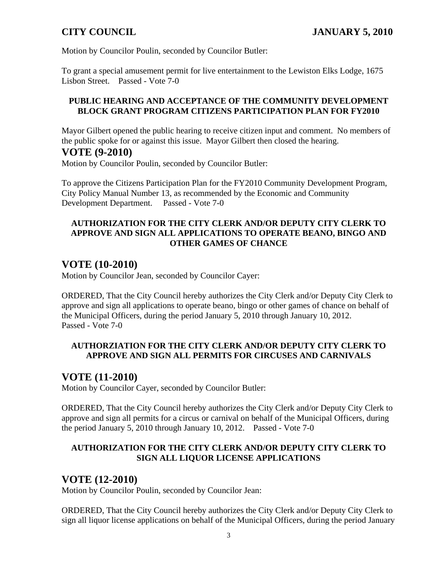Motion by Councilor Poulin, seconded by Councilor Butler:

To grant a special amusement permit for live entertainment to the Lewiston Elks Lodge, 1675 Lisbon Street. Passed - Vote 7-0

### **PUBLIC HEARING AND ACCEPTANCE OF THE COMMUNITY DEVELOPMENT BLOCK GRANT PROGRAM CITIZENS PARTICIPATION PLAN FOR FY2010**

Mayor Gilbert opened the public hearing to receive citizen input and comment. No members of the public spoke for or against this issue. Mayor Gilbert then closed the hearing.

### **VOTE (9-2010)**

Motion by Councilor Poulin, seconded by Councilor Butler:

To approve the Citizens Participation Plan for the FY2010 Community Development Program, City Policy Manual Number 13, as recommended by the Economic and Community Development Department. Passed - Vote 7-0

### **AUTHORIZATION FOR THE CITY CLERK AND/OR DEPUTY CITY CLERK TO APPROVE AND SIGN ALL APPLICATIONS TO OPERATE BEANO, BINGO AND OTHER GAMES OF CHANCE**

# **VOTE (10-2010)**

Motion by Councilor Jean, seconded by Councilor Cayer:

ORDERED, That the City Council hereby authorizes the City Clerk and/or Deputy City Clerk to approve and sign all applications to operate beano, bingo or other games of chance on behalf of the Municipal Officers, during the period January 5, 2010 through January 10, 2012. Passed - Vote 7-0

### **AUTHORZIATION FOR THE CITY CLERK AND/OR DEPUTY CITY CLERK TO APPROVE AND SIGN ALL PERMITS FOR CIRCUSES AND CARNIVALS**

## **VOTE (11-2010)**

Motion by Councilor Cayer, seconded by Councilor Butler:

ORDERED, That the City Council hereby authorizes the City Clerk and/or Deputy City Clerk to approve and sign all permits for a circus or carnival on behalf of the Municipal Officers, during the period January 5, 2010 through January 10, 2012. Passed - Vote 7-0

### **AUTHORIZATION FOR THE CITY CLERK AND/OR DEPUTY CITY CLERK TO SIGN ALL LIQUOR LICENSE APPLICATIONS**

## **VOTE (12-2010)**

Motion by Councilor Poulin, seconded by Councilor Jean:

ORDERED, That the City Council hereby authorizes the City Clerk and/or Deputy City Clerk to sign all liquor license applications on behalf of the Municipal Officers, during the period January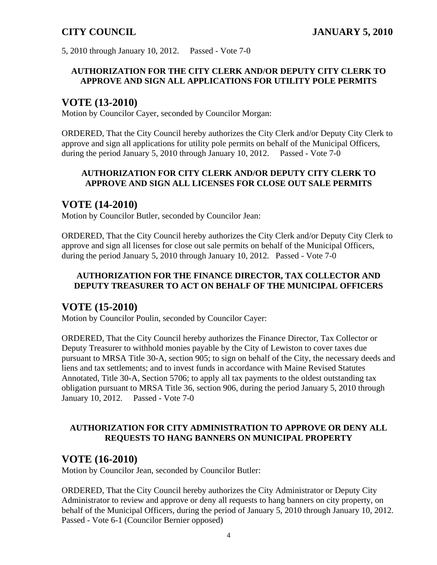5, 2010 through January 10, 2012. Passed - Vote 7-0

### **AUTHORIZATION FOR THE CITY CLERK AND/OR DEPUTY CITY CLERK TO APPROVE AND SIGN ALL APPLICATIONS FOR UTILITY POLE PERMITS**

## **VOTE (13-2010)**

Motion by Councilor Cayer, seconded by Councilor Morgan:

ORDERED, That the City Council hereby authorizes the City Clerk and/or Deputy City Clerk to approve and sign all applications for utility pole permits on behalf of the Municipal Officers, during the period January 5, 2010 through January 10, 2012. Passed - Vote 7-0

### **AUTHORIZATION FOR CITY CLERK AND/OR DEPUTY CITY CLERK TO APPROVE AND SIGN ALL LICENSES FOR CLOSE OUT SALE PERMITS**

# **VOTE (14-2010)**

Motion by Councilor Butler, seconded by Councilor Jean:

ORDERED, That the City Council hereby authorizes the City Clerk and/or Deputy City Clerk to approve and sign all licenses for close out sale permits on behalf of the Municipal Officers, during the period January 5, 2010 through January 10, 2012. Passed - Vote 7-0

### **AUTHORIZATION FOR THE FINANCE DIRECTOR, TAX COLLECTOR AND DEPUTY TREASURER TO ACT ON BEHALF OF THE MUNICIPAL OFFICERS**

## **VOTE (15-2010)**

Motion by Councilor Poulin, seconded by Councilor Cayer:

ORDERED, That the City Council hereby authorizes the Finance Director, Tax Collector or Deputy Treasurer to withhold monies payable by the City of Lewiston to cover taxes due pursuant to MRSA Title 30-A, section 905; to sign on behalf of the City, the necessary deeds and liens and tax settlements; and to invest funds in accordance with Maine Revised Statutes Annotated, Title 30-A, Section 5706; to apply all tax payments to the oldest outstanding tax obligation pursuant to MRSA Title 36, section 906, during the period January 5, 2010 through January 10, 2012. Passed - Vote 7-0

### **AUTHORIZATION FOR CITY ADMINISTRATION TO APPROVE OR DENY ALL REQUESTS TO HANG BANNERS ON MUNICIPAL PROPERTY**

## **VOTE (16-2010)**

Motion by Councilor Jean, seconded by Councilor Butler:

ORDERED, That the City Council hereby authorizes the City Administrator or Deputy City Administrator to review and approve or deny all requests to hang banners on city property, on behalf of the Municipal Officers, during the period of January 5, 2010 through January 10, 2012. Passed - Vote 6-1 (Councilor Bernier opposed)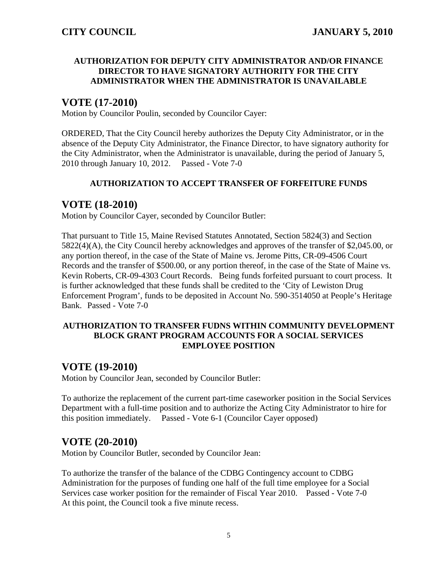### **AUTHORIZATION FOR DEPUTY CITY ADMINISTRATOR AND/OR FINANCE DIRECTOR TO HAVE SIGNATORY AUTHORITY FOR THE CITY ADMINISTRATOR WHEN THE ADMINISTRATOR IS UNAVAILABLE**

# **VOTE (17-2010)**

Motion by Councilor Poulin, seconded by Councilor Cayer:

ORDERED, That the City Council hereby authorizes the Deputy City Administrator, or in the absence of the Deputy City Administrator, the Finance Director, to have signatory authority for the City Administrator, when the Administrator is unavailable, during the period of January 5, 2010 through January 10, 2012. Passed - Vote 7-0

### **AUTHORIZATION TO ACCEPT TRANSFER OF FORFEITURE FUNDS**

## **VOTE (18-2010)**

Motion by Councilor Cayer, seconded by Councilor Butler:

That pursuant to Title 15, Maine Revised Statutes Annotated, Section 5824(3) and Section 5822(4)(A), the City Council hereby acknowledges and approves of the transfer of \$2,045.00, or any portion thereof, in the case of the State of Maine vs. Jerome Pitts, CR-09-4506 Court Records and the transfer of \$500.00, or any portion thereof, in the case of the State of Maine vs. Kevin Roberts, CR-09-4303 Court Records. Being funds forfeited pursuant to court process. It is further acknowledged that these funds shall be credited to the 'City of Lewiston Drug Enforcement Program', funds to be deposited in Account No. 590-3514050 at People's Heritage Bank. Passed - Vote 7-0

### **AUTHORIZATION TO TRANSFER FUDNS WITHIN COMMUNITY DEVELOPMENT BLOCK GRANT PROGRAM ACCOUNTS FOR A SOCIAL SERVICES EMPLOYEE POSITION**

## **VOTE (19-2010)**

Motion by Councilor Jean, seconded by Councilor Butler:

To authorize the replacement of the current part-time caseworker position in the Social Services Department with a full-time position and to authorize the Acting City Administrator to hire for this position immediately. Passed - Vote 6-1 (Councilor Cayer opposed)

## **VOTE (20-2010)**

Motion by Councilor Butler, seconded by Councilor Jean:

To authorize the transfer of the balance of the CDBG Contingency account to CDBG Administration for the purposes of funding one half of the full time employee for a Social Services case worker position for the remainder of Fiscal Year 2010. Passed - Vote 7-0At this point, the Council took a five minute recess.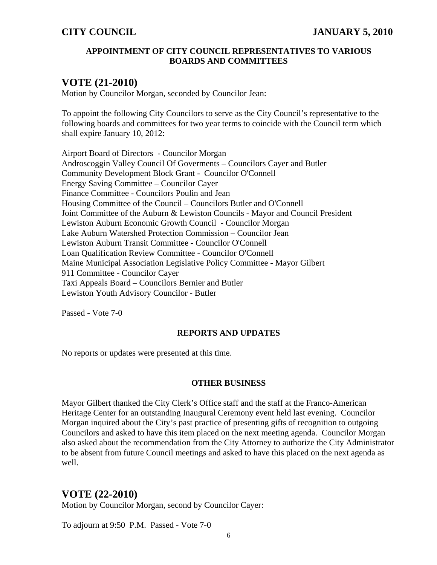### **APPOINTMENT OF CITY COUNCIL REPRESENTATIVES TO VARIOUS BOARDS AND COMMITTEES**

## **VOTE (21-2010)**

Motion by Councilor Morgan, seconded by Councilor Jean:

To appoint the following City Councilors to serve as the City Council's representative to the following boards and committees for two year terms to coincide with the Council term which shall expire January 10, 2012:

Airport Board of Directors - Councilor Morgan Androscoggin Valley Council Of Goverments – Councilors Cayer and Butler Community Development Block Grant - Councilor O'Connell Energy Saving Committee – Councilor Cayer Finance Committee - Councilors Poulin and Jean Housing Committee of the Council – Councilors Butler and O'Connell Joint Committee of the Auburn & Lewiston Councils - Mayor and Council President Lewiston Auburn Economic Growth Council - Councilor Morgan Lake Auburn Watershed Protection Commission – Councilor Jean Lewiston Auburn Transit Committee - Councilor O'Connell Loan Qualification Review Committee - Councilor O'Connell Maine Municipal Association Legislative Policy Committee - Mayor Gilbert 911 Committee - Councilor Cayer Taxi Appeals Board – Councilors Bernier and Butler Lewiston Youth Advisory Councilor - Butler

Passed - Vote 7-0

### **REPORTS AND UPDATES**

No reports or updates were presented at this time.

### **OTHER BUSINESS**

Mayor Gilbert thanked the City Clerk's Office staff and the staff at the Franco-American Heritage Center for an outstanding Inaugural Ceremony event held last evening. Councilor Morgan inquired about the City's past practice of presenting gifts of recognition to outgoing Councilors and asked to have this item placed on the next meeting agenda. Councilor Morgan also asked about the recommendation from the City Attorney to authorize the City Administrator to be absent from future Council meetings and asked to have this placed on the next agenda as well.

# **VOTE (22-2010)**

Motion by Councilor Morgan, second by Councilor Cayer:

To adjourn at 9:50 P.M. Passed - Vote 7-0